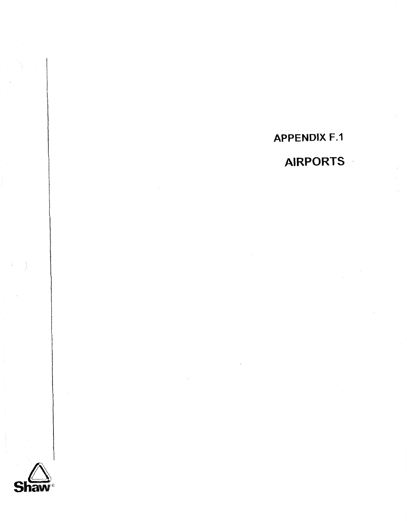**APPENDlX F.1 AIRPORTS** .

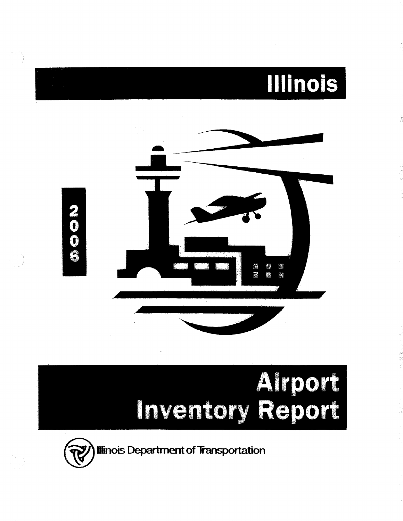

# Inventory Report

法,根据证

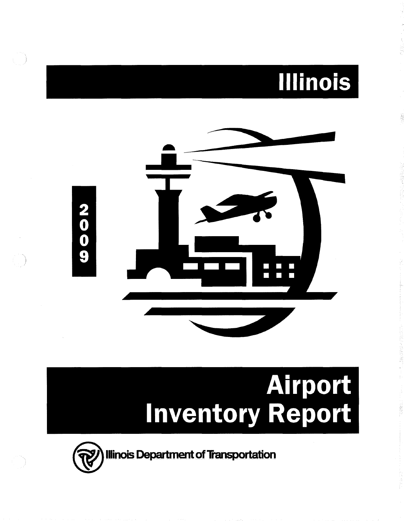### **Illinois**



## Airport<br>Inventory Report

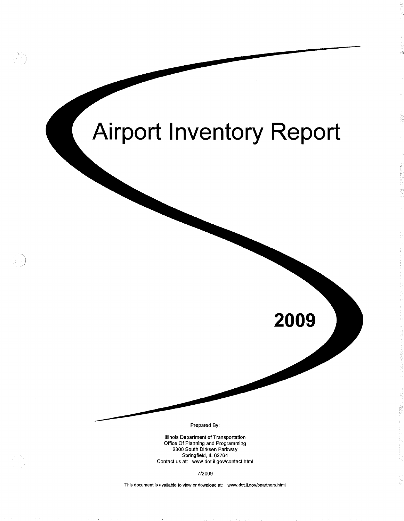

This document is available to view or download at: www.dot.il.gov/ppartners.html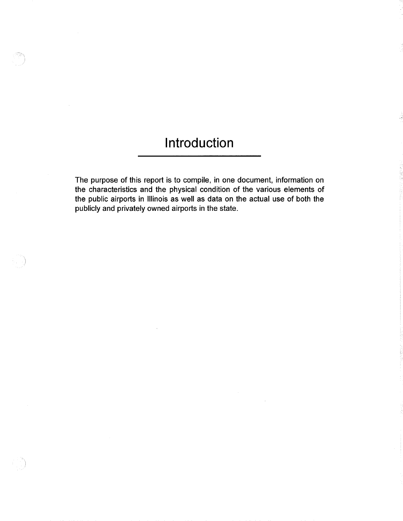### Introduction

D.

The purpose of this report is to compile, in one document, information on the characteristics and the physical condition of the various elements of the public airports in Illinois as well as data on the actual use of both the publicly and privately owned airports in the state.

 $\sim$ 

 $\overline{\phantom{a}}$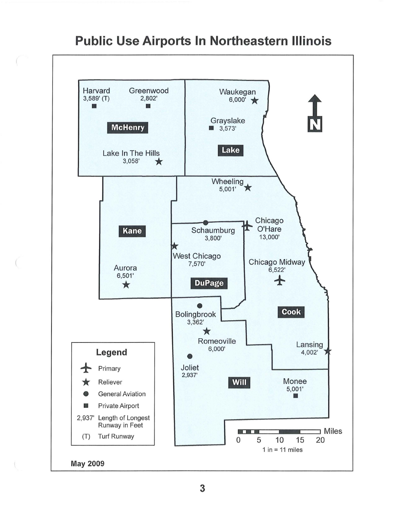

### **Public Use Airports In Northeastern Illinois**